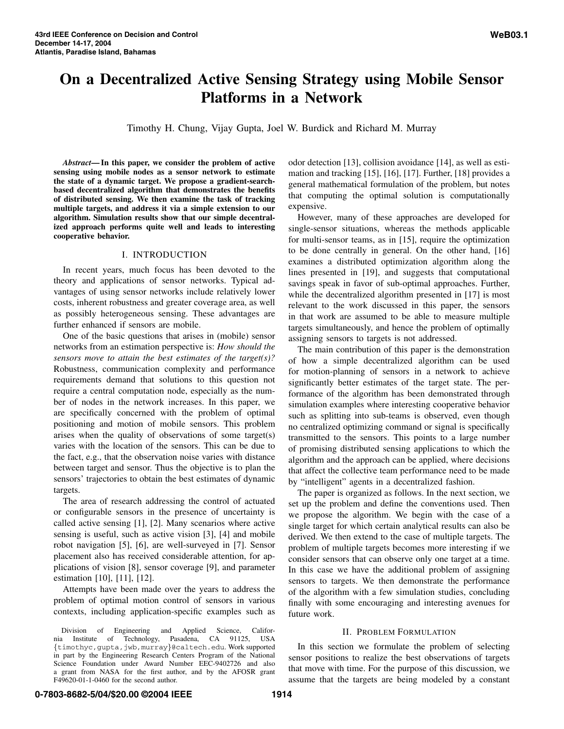# **On a Decentralized Active Sensing Strategy using Mobile Sensor Platforms in a Network**

Timothy H. Chung, Vijay Gupta, Joel W. Burdick and Richard M. Murray

*Abstract***— In this paper, we consider the problem of active sensing using mobile nodes as a sensor network to estimate the state of a dynamic target. We propose a gradient-searchbased decentralized algorithm that demonstrates the benefits of distributed sensing. We then examine the task of tracking multiple targets, and address it via a simple extension to our algorithm. Simulation results show that our simple decentralized approach performs quite well and leads to interesting cooperative behavior.**

## I. INTRODUCTION

In recent years, much focus has been devoted to the theory and applications of sensor networks. Typical advantages of using sensor networks include relatively lower costs, inherent robustness and greater coverage area, as well as possibly heterogeneous sensing. These advantages are further enhanced if sensors are mobile.

One of the basic questions that arises in (mobile) sensor networks from an estimation perspective is: *How should the sensors move to attain the best estimates of the target(s)?* Robustness, communication complexity and performance requirements demand that solutions to this question not require a central computation node, especially as the number of nodes in the network increases. In this paper, we are specifically concerned with the problem of optimal positioning and motion of mobile sensors. This problem arises when the quality of observations of some target(s) varies with the location of the sensors. This can be due to the fact, e.g., that the observation noise varies with distance between target and sensor. Thus the objective is to plan the sensors' trajectories to obtain the best estimates of dynamic targets.

The area of research addressing the control of actuated or configurable sensors in the presence of uncertainty is called active sensing [1], [2]. Many scenarios where active sensing is useful, such as active vision [3], [4] and mobile robot navigation [5], [6], are well-surveyed in [7]. Sensor placement also has received considerable attention, for applications of vision [8], sensor coverage [9], and parameter estimation [10], [11], [12].

Attempts have been made over the years to address the problem of optimal motion control of sensors in various contexts, including application-specific examples such as

odor detection [13], collision avoidance [14], as well as estimation and tracking [15], [16], [17]. Further, [18] provides a general mathematical formulation of the problem, but notes that computing the optimal solution is computationally expensive.

However, many of these approaches are developed for single-sensor situations, whereas the methods applicable for multi-sensor teams, as in [15], require the optimization to be done centrally in general. On the other hand, [16] examines a distributed optimization algorithm along the lines presented in [19], and suggests that computational savings speak in favor of sub-optimal approaches. Further, while the decentralized algorithm presented in [17] is most relevant to the work discussed in this paper, the sensors in that work are assumed to be able to measure multiple targets simultaneously, and hence the problem of optimally assigning sensors to targets is not addressed.

The main contribution of this paper is the demonstration of how a simple decentralized algorithm can be used for motion-planning of sensors in a network to achieve significantly better estimates of the target state. The performance of the algorithm has been demonstrated through simulation examples where interesting cooperative behavior such as splitting into sub-teams is observed, even though no centralized optimizing command or signal is specifically transmitted to the sensors. This points to a large number of promising distributed sensing applications to which the algorithm and the approach can be applied, where decisions that affect the collective team performance need to be made by "intelligent" agents in a decentralized fashion.

The paper is organized as follows. In the next section, we set up the problem and define the conventions used. Then we propose the algorithm. We begin with the case of a single target for which certain analytical results can also be derived. We then extend to the case of multiple targets. The problem of multiple targets becomes more interesting if we consider sensors that can observe only one target at a time. In this case we have the additional problem of assigning sensors to targets. We then demonstrate the performance of the algorithm with a few simulation studies, concluding finally with some encouraging and interesting avenues for future work.

#### II. PROBLEM FORMULATION

In this section we formulate the problem of selecting sensor positions to realize the best observations of targets that move with time. For the purpose of this discussion, we assume that the targets are being modeled by a constant

Division of Engineering and Applied Science, California Institute of Technology, Pasadena, CA 91125, USA {timothyc,gupta,jwb,murray}@caltech.edu. Work supported in part by the Engineering Research Centers Program of the National Science Foundation under Award Number EEC-9402726 and also a grant from NASA for the first author, and by the AFOSR grant F49620-01-1-0460 for the second author.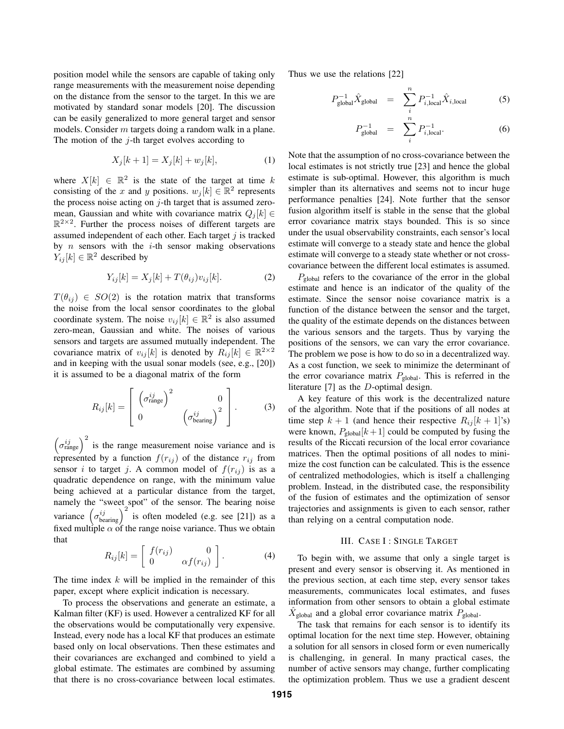position model while the sensors are capable of taking only range measurements with the measurement noise depending on the distance from the sensor to the target. In this we are motivated by standard sonar models [20]. The discussion can be easily generalized to more general target and sensor models. Consider  $m$  targets doing a random walk in a plane. The motion of the  $j$ -th target evolves according to

$$
X_j[k+1] = X_j[k] + w_j[k],
$$
 (1)

where  $X[k] \in \mathbb{R}^2$  is the state of the target at time k consisting of the x and y positions.  $w_i[k] \in \mathbb{R}^2$  represents the process noise acting on  $j$ -th target that is assumed zeromean, Gaussian and white with covariance matrix  $Q_i[k] \in$  $\mathbb{R}^{2\times 2}$ . Further the process noises of different targets are assumed independent of each other. Each target  $j$  is tracked by  $n$  sensors with the  $i$ -th sensor making observations  $Y_{ij}[k] \in \mathbb{R}^2$  described by

$$
Y_{ij}[k] = X_j[k] + T(\theta_{ij})v_{ij}[k].
$$
\n(2)

 $T(\theta_{ij}) \in SO(2)$  is the rotation matrix that transforms the noise from the local sensor coordinates to the global coordinate system. The noise  $v_{ij}[k] \in \mathbb{R}^2$  is also assumed zero-mean, Gaussian and white. The noises of various sensors and targets are assumed mutually independent. The covariance matrix of  $v_{ij}[k]$  is denoted by  $R_{ij}[k] \in \mathbb{R}^{2 \times 2}$ and in keeping with the usual sonar models (see, e.g., [20]) it is assumed to be a diagonal matrix of the form

$$
R_{ij}[k] = \begin{bmatrix} \left(\sigma_{\text{range}}^{ij}\right)^2 & 0\\ 0 & \left(\sigma_{\text{bearing}}^{ij}\right)^2 \end{bmatrix} . \tag{3}
$$

 $\left(\sigma_{\text{range}}^{ij}\right)^2$  is the range measurement noise variance and is represented by a function  $f(r_{ij})$  of the distance  $r_{ij}$  from sensor *i* to target *j*. A common model of  $f(r_{ij})$  is as a quadratic dependence on range, with the minimum value being achieved at a particular distance from the target, namely the "sweet spot" of the sensor. The bearing noise variance  $(\sigma_{\text{bearing}}^{ij})^2$  is often modeled (e.g. see [21]) as a fixed multiple  $\alpha$  of the range noise variance. Thus we obtain that

$$
R_{ij}[k] = \begin{bmatrix} f(r_{ij}) & 0\\ 0 & \alpha f(r_{ij}) \end{bmatrix}.
$$
 (4)

The time index  $k$  will be implied in the remainder of this paper, except where explicit indication is necessary.

To process the observations and generate an estimate, a Kalman filter (KF) is used. However a centralized KF for all the observations would be computationally very expensive. Instead, every node has a local KF that produces an estimate based only on local observations. Then these estimates and their covariances are exchanged and combined to yield a global estimate. The estimates are combined by assuming that there is no cross-covariance between local estimates.

Thus we use the relations [22]

$$
P_{\text{global}}^{-1} \hat{X}_{\text{global}} = \sum_{i}^{n} P_{i,\text{local}}^{-1} \hat{X}_{i,\text{local}} \tag{5}
$$

$$
P_{\text{global}}^{-1} = \sum_{i}^{n} P_{i,\text{local}}^{-1}.
$$
 (6)

Note that the assumption of no cross-covariance between the local estimates is not strictly true [23] and hence the global estimate is sub-optimal. However, this algorithm is much simpler than its alternatives and seems not to incur huge performance penalties [24]. Note further that the sensor fusion algorithm itself is stable in the sense that the global error covariance matrix stays bounded. This is so since under the usual observability constraints, each sensor's local estimate will converge to a steady state and hence the global estimate will converge to a steady state whether or not crosscovariance between the different local estimates is assumed.

 $P_{\text{global}}$  refers to the covariance of the error in the global estimate and hence is an indicator of the quality of the estimate. Since the sensor noise covariance matrix is a function of the distance between the sensor and the target, the quality of the estimate depends on the distances between the various sensors and the targets. Thus by varying the positions of the sensors, we can vary the error covariance. The problem we pose is how to do so in a decentralized way. As a cost function, we seek to minimize the determinant of the error covariance matrix  $P_{\text{global}}$ . This is referred in the literature [7] as the D-optimal design.

A key feature of this work is the decentralized nature of the algorithm. Note that if the positions of all nodes at time step  $k + 1$  (and hence their respective  $R_{ij}[k+1]$ 's) were known,  $P_{\text{global}}[k+1]$  could be computed by fusing the results of the Riccati recursion of the local error covariance matrices. Then the optimal positions of all nodes to minimize the cost function can be calculated. This is the essence of centralized methodologies, which is itself a challenging problem. Instead, in the distributed case, the responsibility of the fusion of estimates and the optimization of sensor trajectories and assignments is given to each sensor, rather than relying on a central computation node.

#### III. CASE I:SINGLE TARGET

To begin with, we assume that only a single target is present and every sensor is observing it. As mentioned in the previous section, at each time step, every sensor takes measurements, communicates local estimates, and fuses information from other sensors to obtain a global estimate  $\hat{X}_{\text{global}}$  and a global error covariance matrix  $P_{\text{global}}$ .

The task that remains for each sensor is to identify its optimal location for the next time step. However, obtaining a solution for all sensors in closed form or even numerically is challenging, in general. In many practical cases, the number of active sensors may change, further complicating the optimization problem. Thus we use a gradient descent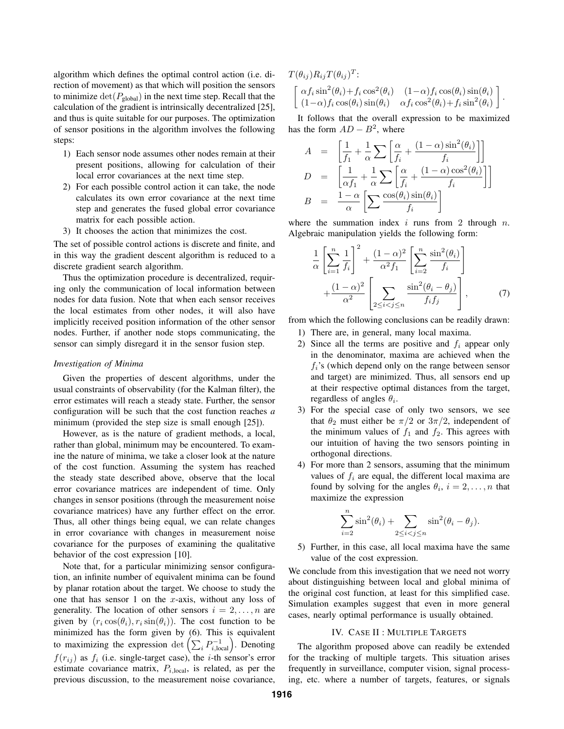algorithm which defines the optimal control action (i.e. direction of movement) as that which will position the sensors to minimize  $\det(P_{\text{global}})$  in the next time step. Recall that the calculation of the gradient is intrinsically decentralized [25], and thus is quite suitable for our purposes. The optimization of sensor positions in the algorithm involves the following steps:

- 1) Each sensor node assumes other nodes remain at their present positions, allowing for calculation of their local error covariances at the next time step.
- 2) For each possible control action it can take, the node calculates its own error covariance at the next time step and generates the fused global error covariance matrix for each possible action.
- 3) It chooses the action that minimizes the cost.

The set of possible control actions is discrete and finite, and in this way the gradient descent algorithm is reduced to a discrete gradient search algorithm.

Thus the optimization procedure is decentralized, requiring only the communication of local information between nodes for data fusion. Note that when each sensor receives the local estimates from other nodes, it will also have implicitly received position information of the other sensor nodes. Further, if another node stops communicating, the sensor can simply disregard it in the sensor fusion step.

#### *Investigation of Minima*

Given the properties of descent algorithms, under the usual constraints of observability (for the Kalman filter), the error estimates will reach a steady state. Further, the sensor configuration will be such that the cost function reaches *a* minimum (provided the step size is small enough [25]).

However, as is the nature of gradient methods, a local, rather than global, minimum may be encountered. To examine the nature of minima, we take a closer look at the nature of the cost function. Assuming the system has reached the steady state described above, observe that the local error covariance matrices are independent of time. Only changes in sensor positions (through the measurement noise covariance matrices) have any further effect on the error. Thus, all other things being equal, we can relate changes in error covariance with changes in measurement noise covariance for the purposes of examining the qualitative behavior of the cost expression [10].

Note that, for a particular minimizing sensor configuration, an infinite number of equivalent minima can be found by planar rotation about the target. We choose to study the one that has sensor 1 on the  $x$ -axis, without any loss of generality. The location of other sensors  $i = 2, \ldots, n$  are given by  $(r_i \cos(\theta_i), r_i \sin(\theta_i))$ . The cost function to be minimized has the form given by (6). This is equivalent to maximizing the expression  $\det\left(\sum_{i} P^{-1}_{i,\text{local}}\right)$ . Denoting  $f(r_{ij})$  as  $f_i$  (i.e. single-target case), the *i*-th sensor's error estimate covariance matrix,  $P_{i,\text{local}}$ , is related, as per the previous discussion, to the measurement noise covariance,

$$
T(\theta_{ij})R_{ij}T(\theta_{ij})^{T};
$$
  
\n
$$
\begin{bmatrix}\n\alpha f_i \sin^2(\theta_i) + f_i \cos^2(\theta_i) & (1-\alpha)f_i \cos(\theta_i) \sin(\theta_i) \\
(1-\alpha)f_i \cos(\theta_i) \sin(\theta_i) & \alpha f_i \cos^2(\theta_i) + f_i \sin^2(\theta_i)\n\end{bmatrix}.
$$

It follows that the overall expression to be maximized has the form  $AD - B^2$ , where

$$
A = \left[\frac{1}{f_1} + \frac{1}{\alpha} \sum \left[ \frac{\alpha}{f_i} + \frac{(1-\alpha)\sin^2(\theta_i)}{f_i} \right] \right]
$$
  
\n
$$
D = \left[ \frac{1}{\alpha f_1} + \frac{1}{\alpha} \sum \left[ \frac{\alpha}{f_i} + \frac{(1-\alpha)\cos^2(\theta_i)}{f_i} \right] \right]
$$
  
\n
$$
B = \frac{1-\alpha}{\alpha} \left[ \sum \frac{\cos(\theta_i)\sin(\theta_i)}{f_i} \right]
$$

where the summation index  $i$  runs from 2 through  $n$ . Algebraic manipulation yields the following form:

$$
\frac{1}{\alpha} \left[ \sum_{i=1}^{n} \frac{1}{f_i} \right]^2 + \frac{(1-\alpha)^2}{\alpha^2 f_1} \left[ \sum_{i=2}^{n} \frac{\sin^2(\theta_i)}{f_i} \right] + \frac{(1-\alpha)^2}{\alpha^2} \left[ \sum_{2 \le i < j \le n} \frac{\sin^2(\theta_i - \theta_j)}{f_i f_j} \right],\tag{7}
$$

from which the following conclusions can be readily drawn:

- 1) There are, in general, many local maxima.
- 2) Since all the terms are positive and  $f_i$  appear only in the denominator, maxima are achieved when the  $f_i$ 's (which depend only on the range between sensor and target) are minimized. Thus, all sensors end up at their respective optimal distances from the target, regardless of angles  $\theta_i$ .
- 3) For the special case of only two sensors, we see that  $\theta_2$  must either be  $\pi/2$  or  $3\pi/2$ , independent of the minimum values of  $f_1$  and  $f_2$ . This agrees with our intuition of having the two sensors pointing in orthogonal directions.
- 4) For more than 2 sensors, assuming that the minimum values of  $f_i$  are equal, the different local maxima are found by solving for the angles  $\theta_i$ ,  $i = 2, \ldots, n$  that maximize the expression

$$
\sum_{i=2}^{n} \sin^2(\theta_i) + \sum_{2 \le i < j \le n} \sin^2(\theta_i - \theta_j).
$$

5) Further, in this case, all local maxima have the same value of the cost expression.

We conclude from this investigation that we need not worry about distinguishing between local and global minima of the original cost function, at least for this simplified case. Simulation examples suggest that even in more general cases, nearly optimal performance is usually obtained.

#### IV. CASE II : MULTIPLE TARGETS

The algorithm proposed above can readily be extended for the tracking of multiple targets. This situation arises frequently in surveillance, computer vision, signal processing, etc. where a number of targets, features, or signals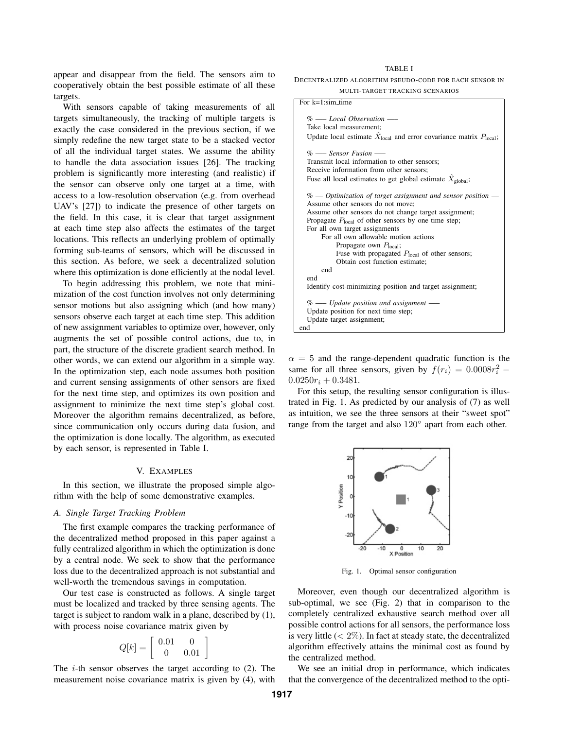appear and disappear from the field. The sensors aim to cooperatively obtain the best possible estimate of all these targets.

With sensors capable of taking measurements of all targets simultaneously, the tracking of multiple targets is exactly the case considered in the previous section, if we simply redefine the new target state to be a stacked vector of all the individual target states. We assume the ability to handle the data association issues [26]. The tracking problem is significantly more interesting (and realistic) if the sensor can observe only one target at a time, with access to a low-resolution observation (e.g. from overhead UAV's [27]) to indicate the presence of other targets on the field. In this case, it is clear that target assignment at each time step also affects the estimates of the target locations. This reflects an underlying problem of optimally forming sub-teams of sensors, which will be discussed in this section. As before, we seek a decentralized solution where this optimization is done efficiently at the nodal level.

To begin addressing this problem, we note that minimization of the cost function involves not only determining sensor motions but also assigning which (and how many) sensors observe each target at each time step. This addition of new assignment variables to optimize over, however, only augments the set of possible control actions, due to, in part, the structure of the discrete gradient search method. In other words, we can extend our algorithm in a simple way. In the optimization step, each node assumes both position and current sensing assignments of other sensors are fixed for the next time step, and optimizes its own position and assignment to minimize the next time step's global cost. Moreover the algorithm remains decentralized, as before, since communication only occurs during data fusion, and the optimization is done locally. The algorithm, as executed by each sensor, is represented in Table I.

## V. EXAMPLES

In this section, we illustrate the proposed simple algorithm with the help of some demonstrative examples.

### *A. Single Target Tracking Problem*

The first example compares the tracking performance of the decentralized method proposed in this paper against a fully centralized algorithm in which the optimization is done by a central node. We seek to show that the performance loss due to the decentralized approach is not substantial and well-worth the tremendous savings in computation.

Our test case is constructed as follows. A single target must be localized and tracked by three sensing agents. The target is subject to random walk in a plane, described by (1), with process noise covariance matrix given by

$$
Q[k]=\left[\begin{array}{cc}0.01&0\\0&0.01\end{array}\right]
$$

The  $i$ -th sensor observes the target according to  $(2)$ . The measurement noise covariance matrix is given by (4), with

# TABLE I

DECENTRALIZED ALGORITHM PSEUDO-CODE FOR EACH SENSOR IN MULTI-TARGET TRACKING SCENARIOS

| For $k=1$ : sim_time                                                              |
|-----------------------------------------------------------------------------------|
|                                                                                   |
| $\%$ — Local Observation —                                                        |
| Take local measurement;                                                           |
| Update local estimate $\hat{X}_{local}$ and error covariance matrix $P_{local}$ ; |
|                                                                                   |
| $\%$ — Sensor Fusion —                                                            |
| Transmit local information to other sensors;                                      |
| Receive information from other sensors:                                           |
| Fuse all local estimates to get global estimate $X_{\text{global}}$ ;             |
|                                                                                   |
| $%$ — Optimization of target assignment and sensor position —                     |
| Assume other sensors do not move:                                                 |
| Assume other sensors do not change target assignment;                             |
| Propagate $P_{local}$ of other sensors by one time step;                          |
| For all own target assignments                                                    |
| For all own allowable motion actions                                              |
| Propagate own $P_{local}$ ;                                                       |
| Fuse with propagated $P_{local}$ of other sensors;                                |
| Obtain cost function estimate;                                                    |
| end                                                                               |
| end                                                                               |
| Identify cost-minimizing position and target assignment;                          |
|                                                                                   |
| $\%$ — Update position and assignment —                                           |
| Update position for next time step;                                               |
| Update target assignment;                                                         |
| end                                                                               |

 $\alpha = 5$  and the range-dependent quadratic function is the same for all three sensors, given by  $f(r_i)=0.0008r_i^2$  –  $0.0250r_i + 0.3481.$ 

For this setup, the resulting sensor configuration is illustrated in Fig. 1. As predicted by our analysis of (7) as well as intuition, we see the three sensors at their "sweet spot" range from the target and also 120◦ apart from each other.



Fig. 1. Optimal sensor configuration

Moreover, even though our decentralized algorithm is sub-optimal, we see (Fig. 2) that in comparison to the completely centralized exhaustive search method over all possible control actions for all sensors, the performance loss is very little  $(< 2\%)$ . In fact at steady state, the decentralized algorithm effectively attains the minimal cost as found by the centralized method.

We see an initial drop in performance, which indicates that the convergence of the decentralized method to the opti-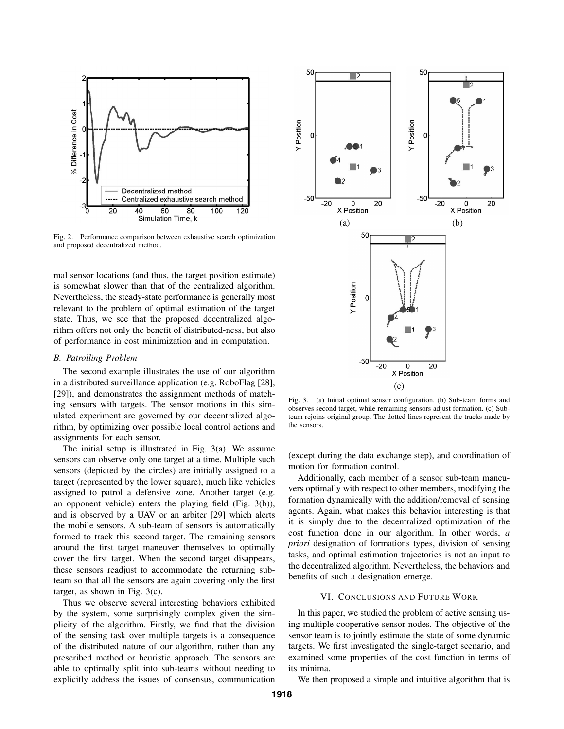

Fig. 2. Performance comparison between exhaustive search optimization and proposed decentralized method.

mal sensor locations (and thus, the target position estimate) is somewhat slower than that of the centralized algorithm. Nevertheless, the steady-state performance is generally most relevant to the problem of optimal estimation of the target state. Thus, we see that the proposed decentralized algorithm offers not only the benefit of distributed-ness, but also of performance in cost minimization and in computation.

# *B. Patrolling Problem*

The second example illustrates the use of our algorithm in a distributed surveillance application (e.g. RoboFlag [28], [29]), and demonstrates the assignment methods of matching sensors with targets. The sensor motions in this simulated experiment are governed by our decentralized algorithm, by optimizing over possible local control actions and assignments for each sensor.

The initial setup is illustrated in Fig. 3(a). We assume sensors can observe only one target at a time. Multiple such sensors (depicted by the circles) are initially assigned to a target (represented by the lower square), much like vehicles assigned to patrol a defensive zone. Another target (e.g. an opponent vehicle) enters the playing field (Fig. 3(b)), and is observed by a UAV or an arbiter [29] which alerts the mobile sensors. A sub-team of sensors is automatically formed to track this second target. The remaining sensors around the first target maneuver themselves to optimally cover the first target. When the second target disappears, these sensors readjust to accommodate the returning subteam so that all the sensors are again covering only the first target, as shown in Fig. 3(c).

Thus we observe several interesting behaviors exhibited by the system, some surprisingly complex given the simplicity of the algorithm. Firstly, we find that the division of the sensing task over multiple targets is a consequence of the distributed nature of our algorithm, rather than any prescribed method or heuristic approach. The sensors are able to optimally split into sub-teams without needing to explicitly address the issues of consensus, communication



Fig. 3. (a) Initial optimal sensor configuration. (b) Sub-team forms and observes second target, while remaining sensors adjust formation. (c) Subteam rejoins original group. The dotted lines represent the tracks made by the sensors.

(except during the data exchange step), and coordination of motion for formation control.

Additionally, each member of a sensor sub-team maneuvers optimally with respect to other members, modifying the formation dynamically with the addition/removal of sensing agents. Again, what makes this behavior interesting is that it is simply due to the decentralized optimization of the cost function done in our algorithm. In other words, *a priori* designation of formations types, division of sensing tasks, and optimal estimation trajectories is not an input to the decentralized algorithm. Nevertheless, the behaviors and benefits of such a designation emerge.

#### VI. CONCLUSIONS AND FUTURE WORK

In this paper, we studied the problem of active sensing using multiple cooperative sensor nodes. The objective of the sensor team is to jointly estimate the state of some dynamic targets. We first investigated the single-target scenario, and examined some properties of the cost function in terms of its minima.

We then proposed a simple and intuitive algorithm that is